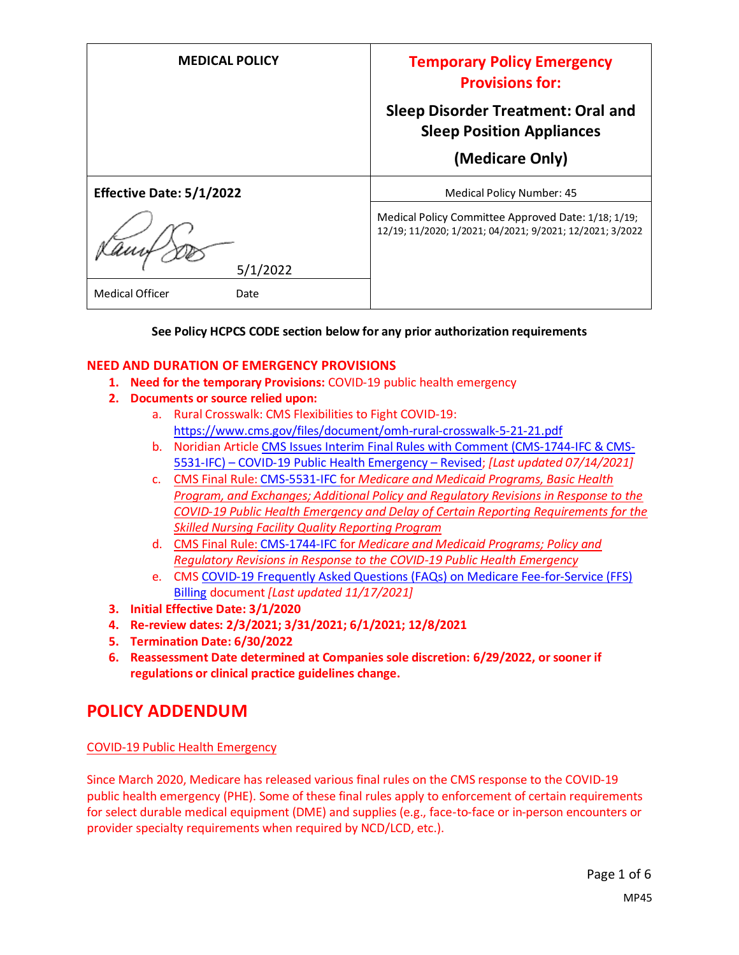| <b>MEDICAL POLICY</b>           | <b>Temporary Policy Emergency</b><br><b>Provisions for:</b>                                                     |
|---------------------------------|-----------------------------------------------------------------------------------------------------------------|
|                                 | <b>Sleep Disorder Treatment: Oral and</b><br><b>Sleep Position Appliances</b>                                   |
|                                 | (Medicare Only)                                                                                                 |
| <b>Effective Date: 5/1/2022</b> | Medical Policy Number: 45                                                                                       |
| 5/1/2022                        | Medical Policy Committee Approved Date: 1/18; 1/19;<br>12/19; 11/2020; 1/2021; 04/2021; 9/2021; 12/2021; 3/2022 |
| <b>Medical Officer</b><br>Date  |                                                                                                                 |

#### **See Policy HCPCS CODE section below for any prior authorization requirements**

#### **NEED AND DURATION OF EMERGENCY PROVISIONS**

- **1. Need for the temporary Provisions:** COVID-19 public health emergency
- **2. Documents or source relied upon:** 
	- a. Rural Crosswalk: CMS Flexibilities to Fight COVID-19: <https://www.cms.gov/files/document/omh-rural-crosswalk-5-21-21.pdf>
	- b. Noridian Article [CMS Issues Interim Final Rules with Comment \(CMS-1744-IFC & CMS-](https://med.noridianmedicare.com/web/jadme/policies/dmd-articles/2020/cms-issues-interim-final-rules-with-comment-cms-1744-ifc-cms-5531-ifc-covid-19-public-health-emergency-revised3)5531-IFC) – [COVID-19 Public Health Emergency](https://med.noridianmedicare.com/web/jadme/policies/dmd-articles/2020/cms-issues-interim-final-rules-with-comment-cms-1744-ifc-cms-5531-ifc-covid-19-public-health-emergency-revised3) – Revised; *[Last updated 07/14/2021]*
	- c. [CMS Final Rule: CMS-5531-IFC](https://www.cms.gov/files/document/covid-medicare-and-medicaid-ifc2.pdf) for *Medicare and Medicaid Programs, Basic Health Program, and Exchanges; Additional Policy and Regulatory Revisions in Response to the COVID-19 Public Health Emergency and Delay of Certain Reporting Requirements for the Skilled Nursing Facility Quality Reporting Program*
	- d. CMS Final Rule: [CMS-1744-IFC](https://www.cms.gov/files/document/covid-final-ifc.pdf) for *Medicare and Medicaid Programs; Policy and Regulatory Revisions in Response to the COVID-19 Public Health Emergency*
	- e. CMS [COVID-19 Frequently Asked Questions \(FAQs\) on Medicare Fee-for-Service \(FFS\)](https://www.cms.gov/files/document/03092020-covid-19-faqs-508.pdf)  [Billing](https://www.cms.gov/files/document/03092020-covid-19-faqs-508.pdf) document *[Last updated 11/17/2021]*
- **3. Initial Effective Date: 3/1/2020**
- **4. Re-review dates: 2/3/2021; 3/31/2021; 6/1/2021; 12/8/2021**
- **5. Termination Date: 6/30/2022**
- **6. Reassessment Date determined at Companies sole discretion: 6/29/2022, or sooner if regulations or clinical practice guidelines change.**

#### **POLICY ADDENDUM**

#### COVID-19 Public Health Emergency

Since March 2020, Medicare has released various final rules on the CMS response to the COVID-19 public health emergency (PHE). Some of these final rules apply to enforcement of certain requirements for select durable medical equipment (DME) and supplies (e.g., face-to-face or in-person encounters or provider specialty requirements when required by NCD/LCD, etc.).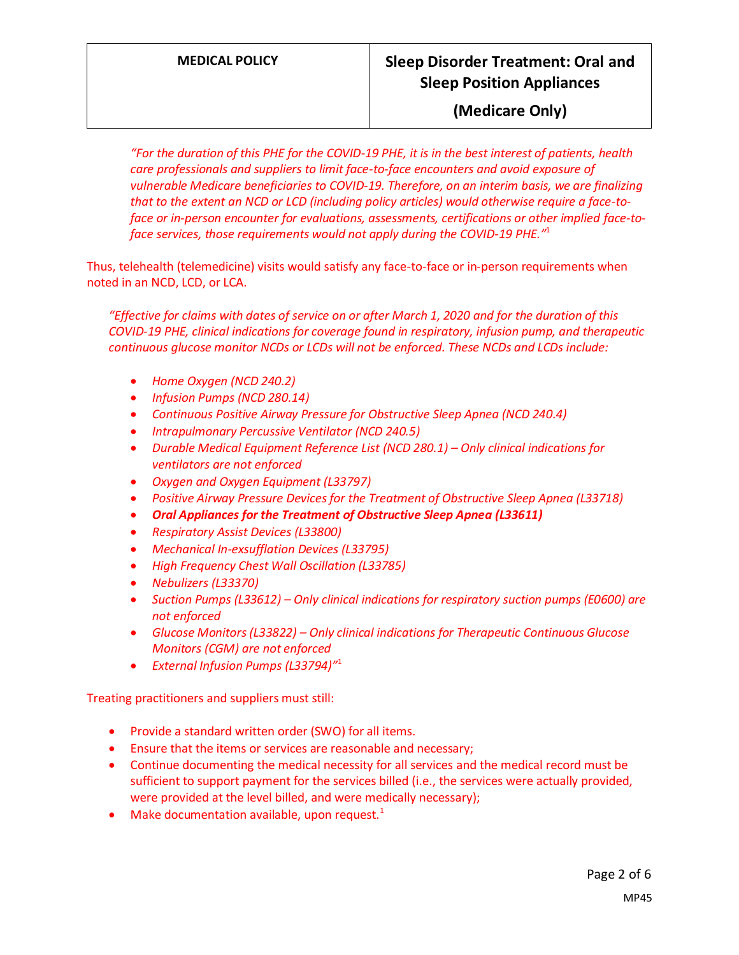### **MEDICAL POLICY Sleep Disorder Treatment: Oral and Sleep Position Appliances**

#### **(Medicare Only)**

*"For the duration of this PHE for the COVID-19 PHE, it is in the best interest of patients, health care professionals and suppliers to limit face-to-face encounters and avoid exposure of vulnerable Medicare beneficiaries to COVID-19. Therefore, on an interim basis, we are finalizing that to the extent an NCD or LCD (including policy articles) would otherwise require a face-toface or in-person encounter for evaluations, assessments, certifications or other implied face-toface services, those requirements would not apply during the COVID-19 PHE."* 1

Thus, telehealth (telemedicine) visits would satisfy any face-to-face or in-person requirements when noted in an NCD, LCD, or LCA.

*"Effective for claims with dates of service on or after March 1, 2020 and for the duration of this COVID-19 PHE, clinical indications for coverage found in respiratory, infusion pump, and therapeutic continuous glucose monitor NCDs or LCDs will not be enforced. These NCDs and LCDs include:*

- *Home Oxygen (NCD 240.2)*
- *Infusion Pumps (NCD 280.14)*
- *Continuous Positive Airway Pressure for Obstructive Sleep Apnea (NCD 240.4)*
- *Intrapulmonary Percussive Ventilator (NCD 240.5)*
- *Durable Medical Equipment Reference List (NCD 280.1) Only clinical indications for ventilators are not enforced*
- *Oxygen and Oxygen Equipment (L33797)*
- *Positive Airway Pressure Devices for the Treatment of Obstructive Sleep Apnea (L33718)*
- *Oral Appliances for the Treatment of Obstructive Sleep Apnea (L33611)*
- *Respiratory Assist Devices (L33800)*
- *Mechanical In-exsufflation Devices (L33795)*
- *High Frequency Chest Wall Oscillation (L33785)*
- *Nebulizers (L33370)*
- *Suction Pumps (L33612) – Only clinical indications for respiratory suction pumps (E0600) are not enforced*
- *Glucose Monitors (L33822) – Only clinical indications for Therapeutic Continuous Glucose Monitors (CGM) are not enforced*
- *External Infusion Pumps (L33794)"* 1

Treating practitioners and suppliers must still:

- Provide a standard written order (SWO) for all items.
- Ensure that the items or services are reasonable and necessary;
- Continue documenting the medical necessity for all services and the medical record must be sufficient to support payment for the services billed (i.e., the services were actually provided, were provided at the level billed, and were medically necessary);
- Make documentation available, upon request. $1$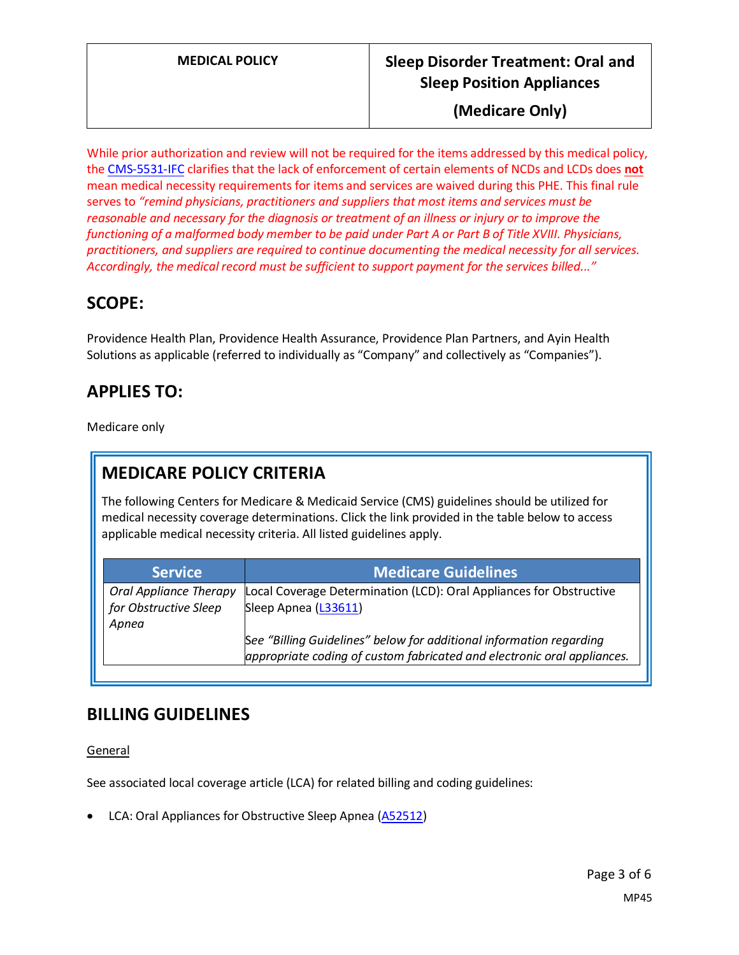### **MEDICAL POLICY Sleep Disorder Treatment: Oral and Sleep Position Appliances**

**(Medicare Only)**

While prior authorization and review will not be required for the items addressed by this medical policy, the [CMS-5531-IFC](https://www.cms.gov/files/document/covid-medicare-and-medicaid-ifc2.pdf) clarifies that the lack of enforcement of certain elements of NCDs and LCDs does **not** mean medical necessity requirements for items and services are waived during this PHE. This final rule serves to *"remind physicians, practitioners and suppliers that most items and services must be reasonable and necessary for the diagnosis or treatment of an illness or injury or to improve the functioning of a malformed body member to be paid under Part A or Part B of Title XVIII. Physicians, practitioners, and suppliers are required to continue documenting the medical necessity for all services. Accordingly, the medical record must be sufficient to support payment for the services billed..."*

### **SCOPE:**

Providence Health Plan, Providence Health Assurance, Providence Plan Partners, and Ayin Health Solutions as applicable (referred to individually as "Company" and collectively as "Companies").

## **APPLIES TO:**

Medicare only

# **MEDICARE POLICY CRITERIA**

The following Centers for Medicare & Medicaid Service (CMS) guidelines should be utilized for medical necessity coverage determinations. Click the link provided in the table below to access applicable medical necessity criteria. All listed guidelines apply.

| <b>Service</b>                | <b>Medicare Guidelines</b>                                              |
|-------------------------------|-------------------------------------------------------------------------|
| <b>Oral Appliance Therapy</b> | Local Coverage Determination (LCD): Oral Appliances for Obstructive     |
| for Obstructive Sleep         | Sleep Apnea (L33611)                                                    |
| Apnea                         |                                                                         |
|                               | See "Billing Guidelines" below for additional information regarding     |
|                               | appropriate coding of custom fabricated and electronic oral appliances. |

### **BILLING GUIDELINES**

General

See associated local coverage article (LCA) for related billing and coding guidelines:

• LCA: Oral Appliances for Obstructive Sleep Apnea [\(A52512\)](https://www.cms.gov/medicare-coverage-database/details/article-details.aspx?articleId=52512)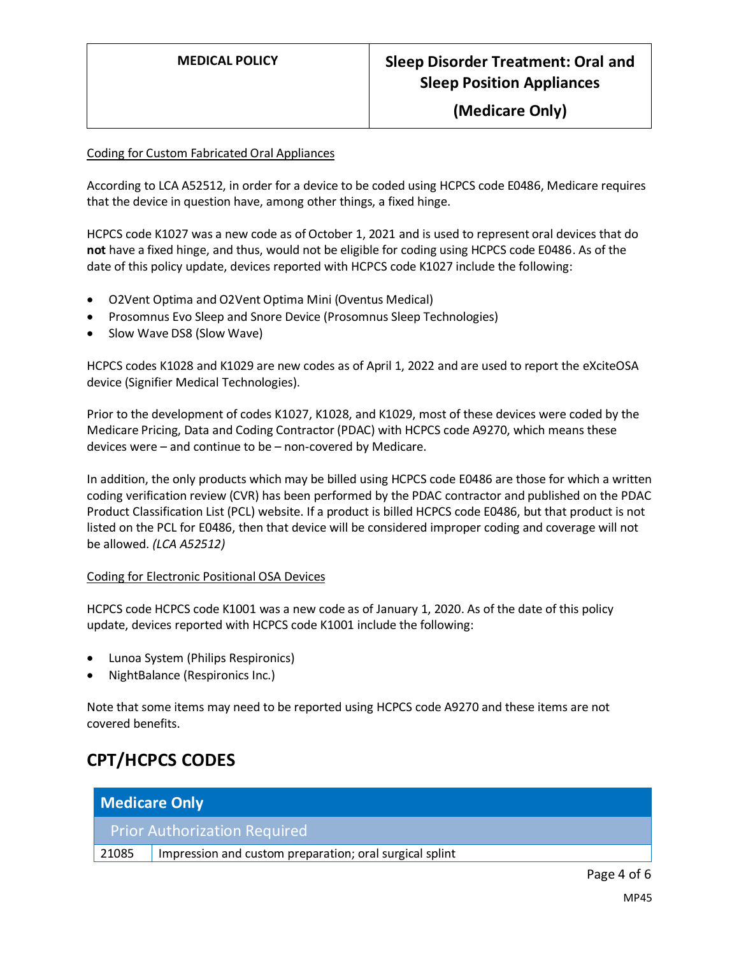**(Medicare Only)**

#### Coding for Custom Fabricated Oral Appliances

According to LCA A52512, in order for a device to be coded using HCPCS code E0486, Medicare requires that the device in question have, among other things, a fixed hinge.

HCPCS code K1027 was a new code as of October 1, 2021 and is used to represent oral devices that do **not** have a fixed hinge, and thus, would not be eligible for coding using HCPCS code E0486. As of the date of this policy update, devices reported with HCPCS code K1027 include the following:

- O2Vent Optima and O2Vent Optima Mini (Oventus Medical)
- Prosomnus Evo Sleep and Snore Device (Prosomnus Sleep Technologies)
- Slow Wave DS8 (Slow Wave)

HCPCS codes K1028 and K1029 are new codes as of April 1, 2022 and are used to report the eXciteOSA device (Signifier Medical Technologies).

Prior to the development of codes K1027, K1028, and K1029, most of these devices were coded by the Medicare Pricing, Data and Coding Contractor (PDAC) with HCPCS code A9270, which means these devices were – and continue to be – non-covered by Medicare.

In addition, the only products which may be billed using HCPCS code E0486 are those for which a written coding verification review (CVR) has been performed by the PDAC contractor and published on the PDAC Product Classification List (PCL) website. If a product is billed HCPCS code E0486, but that product is not listed on the PCL for E0486, then that device will be considered improper coding and coverage will not be allowed. *(LCA A52512)*

#### Coding for Electronic Positional OSA Devices

HCPCS code HCPCS code K1001 was a new code as of January 1, 2020. As of the date of this policy update, devices reported with HCPCS code K1001 include the following:

- Lunoa System (Philips Respironics)
- NightBalance (Respironics Inc.)

Note that some items may need to be reported using HCPCS code A9270 and these items are not covered benefits.

### **CPT/HCPCS CODES**

| <b>Medicare Only</b>                |                                                         |  |
|-------------------------------------|---------------------------------------------------------|--|
| <b>Prior Authorization Required</b> |                                                         |  |
| 21085                               | Impression and custom preparation; oral surgical splint |  |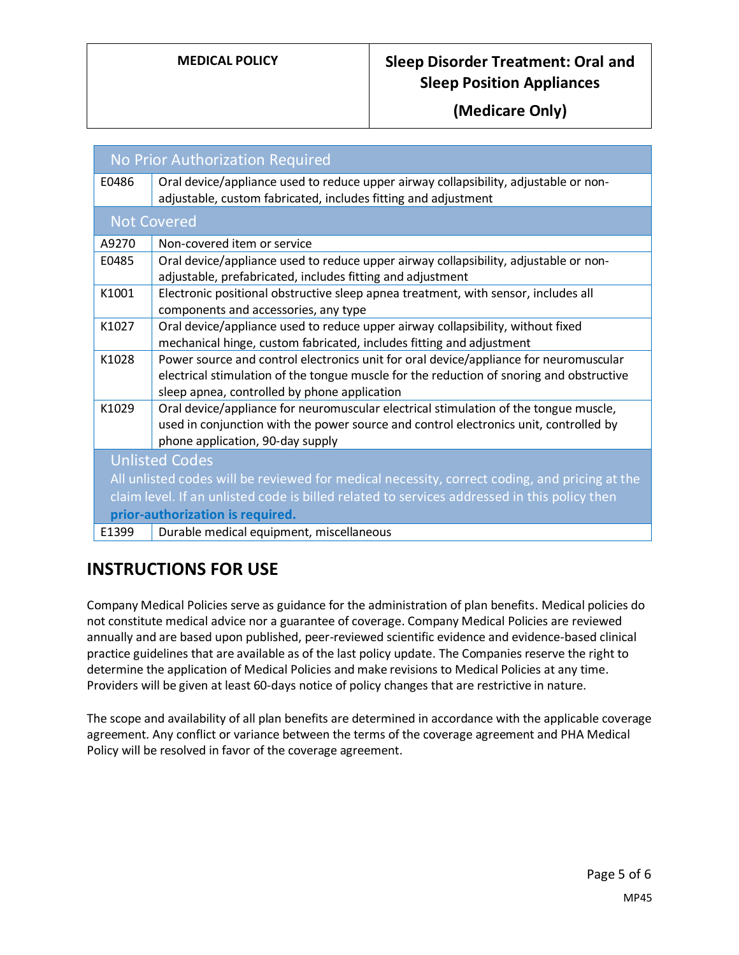### **MEDICAL POLICY Sleep Disorder Treatment: Oral and Sleep Position Appliances**

**(Medicare Only)**

| No Prior Authorization Required                                                               |                                                                                                                                                                                                                                   |  |
|-----------------------------------------------------------------------------------------------|-----------------------------------------------------------------------------------------------------------------------------------------------------------------------------------------------------------------------------------|--|
| E0486                                                                                         | Oral device/appliance used to reduce upper airway collapsibility, adjustable or non-<br>adjustable, custom fabricated, includes fitting and adjustment                                                                            |  |
| <b>Not Covered</b>                                                                            |                                                                                                                                                                                                                                   |  |
| A9270                                                                                         | Non-covered item or service                                                                                                                                                                                                       |  |
| E0485                                                                                         | Oral device/appliance used to reduce upper airway collapsibility, adjustable or non-<br>adjustable, prefabricated, includes fitting and adjustment                                                                                |  |
| K1001                                                                                         | Electronic positional obstructive sleep apnea treatment, with sensor, includes all<br>components and accessories, any type                                                                                                        |  |
| K1027                                                                                         | Oral device/appliance used to reduce upper airway collapsibility, without fixed<br>mechanical hinge, custom fabricated, includes fitting and adjustment                                                                           |  |
| K1028                                                                                         | Power source and control electronics unit for oral device/appliance for neuromuscular<br>electrical stimulation of the tongue muscle for the reduction of snoring and obstructive<br>sleep apnea, controlled by phone application |  |
| K1029                                                                                         | Oral device/appliance for neuromuscular electrical stimulation of the tongue muscle,<br>used in conjunction with the power source and control electronics unit, controlled by<br>phone application, 90-day supply                 |  |
| <b>Unlisted Codes</b>                                                                         |                                                                                                                                                                                                                                   |  |
| All unlisted codes will be reviewed for medical necessity, correct coding, and pricing at the |                                                                                                                                                                                                                                   |  |
| claim level. If an unlisted code is billed related to services addressed in this policy then  |                                                                                                                                                                                                                                   |  |
| prior-authorization is required.                                                              |                                                                                                                                                                                                                                   |  |
| E1399                                                                                         | Durable medical equipment, miscellaneous                                                                                                                                                                                          |  |

### **INSTRUCTIONS FOR USE**

Company Medical Policies serve as guidance for the administration of plan benefits. Medical policies do not constitute medical advice nor a guarantee of coverage. Company Medical Policies are reviewed annually and are based upon published, peer-reviewed scientific evidence and evidence-based clinical practice guidelines that are available as of the last policy update. The Companies reserve the right to determine the application of Medical Policies and make revisions to Medical Policies at any time. Providers will be given at least 60-days notice of policy changes that are restrictive in nature.

The scope and availability of all plan benefits are determined in accordance with the applicable coverage agreement. Any conflict or variance between the terms of the coverage agreement and PHA Medical Policy will be resolved in favor of the coverage agreement.